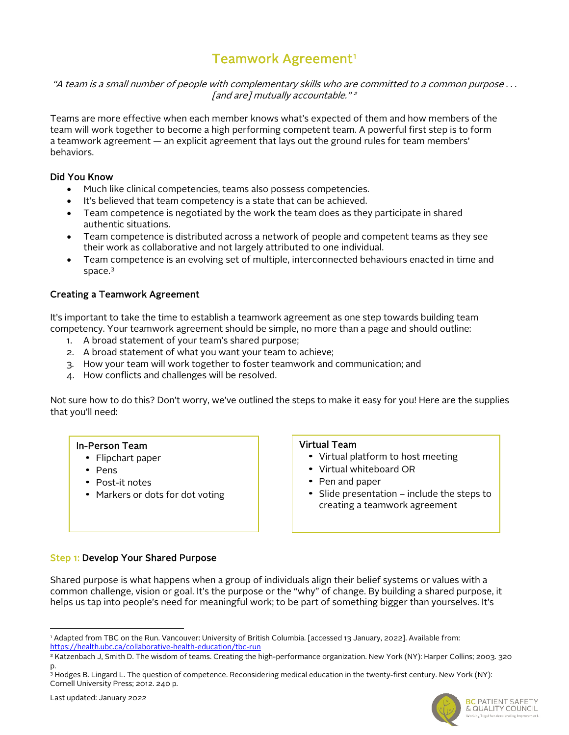# Teamwork Agreement<sup>[1](#page-0-0)</sup>

"A team is a small number of people with complementary skills who are committed to a common purpose . . . [and are] mutually accountable."<sup>2</sup>

Teams are more effective when each member knows what's expected of them and how members of the team will work together to become a high performing competent team. A powerful first step is to form a teamwork agreement — an explicit agreement that lays out the ground rules for team members' behaviors.

#### Did You Know

- Much like clinical competencies, teams also possess competencies.
- It's believed that team competency is a state that can be achieved.
- Team competence is negotiated by the work the team does as they participate in shared authentic situations.
- Team competence is distributed across a network of people and competent teams as they see their work as collaborative and not largely attributed to one individual.
- Team competence is an evolving set of multiple, interconnected behaviours enacted in time and space. [3](#page-0-1)

## Creating a Teamwork Agreement

It's important to take the time to establish a teamwork agreement as one step towards building team competency. Your teamwork agreement should be simple, no more than a page and should outline:

- 1. A broad statement of your team's shared purpose;
- 2. A broad statement of what you want your team to achieve;
- 3. How your team will work together to foster teamwork and communication; and
- 4. How conflicts and challenges will be resolved.

Not sure how to do this? Don't worry, we've outlined the steps to make it easy for you! Here are the supplies that you'll need:

#### In-Person Team

- Flipchart paper
- Pens
- Post-it notes
- Markers or dots for dot voting

#### Virtual Team

- Virtual platform to host meeting
- Virtual whiteboard OR
- Pen and paper
- Slide presentation include the steps to creating a teamwork agreement

## Step 1: Develop Your Shared Purpose

Shared purpose is what happens when a group of individuals align their belief systems or values with a common challenge, vision or goal. It's the purpose or the "why" of change. By building a shared purpose, it helps us tap into people's need for meaningful work; to be part of something bigger than yourselves. It's



<span id="page-0-0"></span><sup>1</sup> Adapted from TBC on the Run. Vancouver: University of British Columbia. [accessed 13 January, 2022]. Available from: <https://health.ubc.ca/collaborative-health-education/tbc-run>

<sup>2</sup> Katzenbach J, Smith D. The wisdom of teams. Creating the high-performance organization. New York (NY): Harper Collins; 2003. 320 p.

<span id="page-0-1"></span><sup>3</sup> Hodges B. Lingard L. The question of competence. Reconsidering medical education in the twenty-first century. New York (NY): Cornell University Press; 2012. 240 p.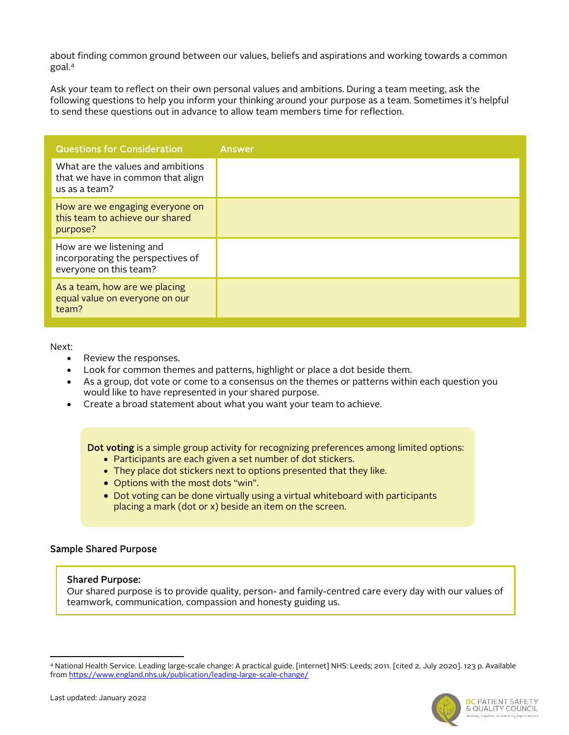about finding common ground between our values, beliefs and aspirations and working towards a common goal.[4](#page-1-0)

Ask your team to reflect on their own personal values and ambitions. During a team meeting, ask the following questions to help you inform your thinking around your purpose as a team. Sometimes it's helpful to send these questions out in advance to allow team members time for reflection.

| <b>Questions for Consideration</b>                                                      | <b>Answer</b> |
|-----------------------------------------------------------------------------------------|---------------|
| What are the values and ambitions<br>that we have in common that align<br>us as a team? |               |
| How are we engaging everyone on<br>this team to achieve our shared<br>purpose?          |               |
| How are we listening and<br>incorporating the perspectives of<br>everyone on this team? |               |
| As a team, how are we placing<br>equal value on everyone on our<br>team?                |               |

Next:

- Review the responses.
- Look for common themes and patterns, highlight or place a dot beside them.
- As a group, dot vote or come to a consensus on the themes or patterns within each question you would like to have represented in your shared purpose.
- Create a broad statement about what you want your team to achieve.

Dot voting is a simple group activity for recognizing preferences among limited options:

- Participants are each given a set number of dot stickers.
- They place dot stickers next to options presented that they like.
- Options with the most dots "win".
- Dot voting can be done virtually using a virtual whiteboard with participants placing a mark (dot or x) beside an item on the screen.

## Sample Shared Purpose

#### Shared Purpose:

Our shared purpose is to provide quality, person- and family-centred care every day with our values of teamwork, communication, compassion and honesty guiding us.

<span id="page-1-0"></span><sup>4</sup> National Health Service. Leading large-scale change: A practical guide. [internet] NHS: Leeds; 2011. [cited 2, July 2020]. 123 p. Available fro[m https://www.england.nhs.uk/publication/leading-large-scale-change/](https://www.england.nhs.uk/publication/leading-large-scale-change/)

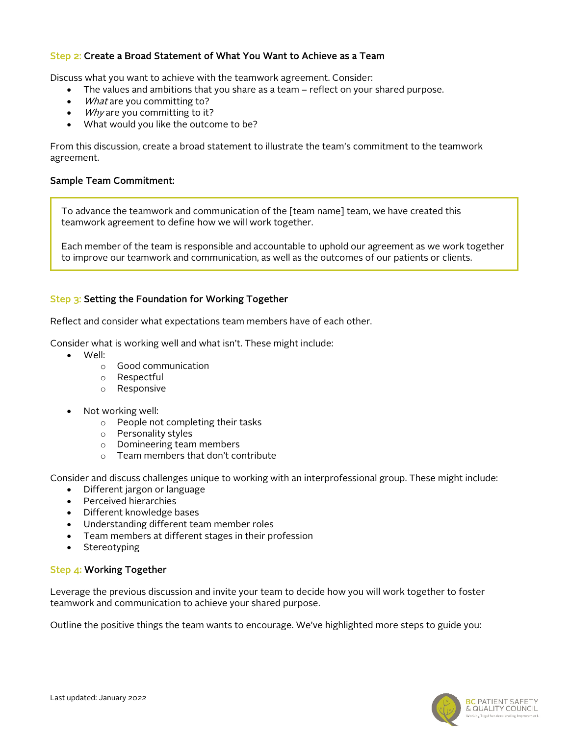# Step 2: Create a Broad Statement of What You Want to Achieve as a Team

Discuss what you want to achieve with the teamwork agreement. Consider:

- The values and ambitions that you share as a team reflect on your shared purpose.
- What are you committing to?
- *Why* are you committing to it?
- What would you like the outcome to be?

From this discussion, create a broad statement to illustrate the team's commitment to the teamwork agreement.

## Sample Team Commitment:

To advance the teamwork and communication of the [team name] team, we have created this teamwork agreement to define how we will work together.

Each member of the team is responsible and accountable to uphold our agreement as we work together to improve our teamwork and communication, as well as the outcomes of our patients or clients.

## Step 3: Setting the Foundation for Working Together

Reflect and consider what expectations team members have of each other.

Consider what is working well and what isn't. These might include:

- Well:
	- o Good communication
	- o Respectful
	- o Responsive
- Not working well:
	- o People not completing their tasks
	- o Personality styles
	- o Domineering team members
	- o Team members that don't contribute

Consider and discuss challenges unique to working with an interprofessional group. These might include:

- Different jargon or language
- Perceived hierarchies
- Different knowledge bases
- Understanding different team member roles
- Team members at different stages in their profession
- Stereotyping

## Step 4: Working Together

Leverage the previous discussion and invite your team to decide how you will work together to foster teamwork and communication to achieve your shared purpose.

Outline the positive things the team wants to encourage. We've highlighted more steps to guide you: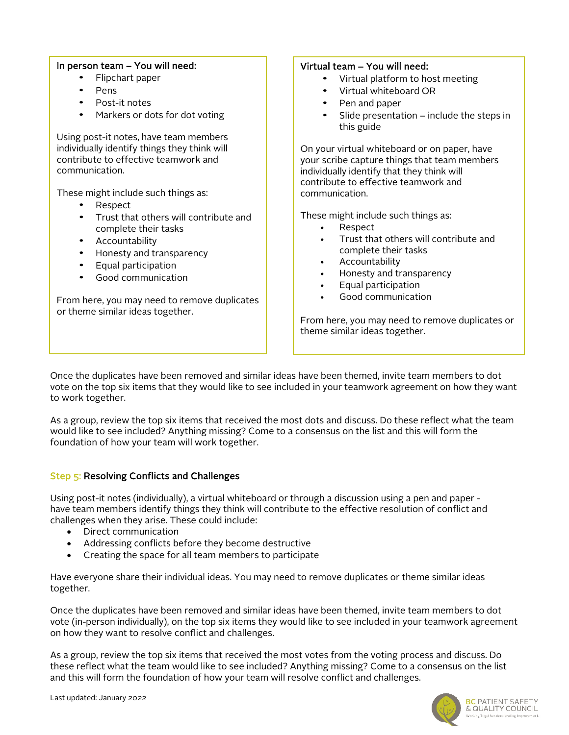## In person team – You will need:

- Flipchart paper
- Pens
- Post-it notes
- Markers or dots for dot voting

Using post-it notes, have team members individually identify things they think will contribute to effective teamwork and communication.

These might include such things as:

- Respect
- Trust that others will contribute and complete their tasks
- Accountability
- Honesty and transparency
- Equal participation
- Good communication

From here, you may need to remove duplicates or theme similar ideas together.

# Virtual team – You will need:

- Virtual platform to host meeting
	- Virtual whiteboard OR
- Pen and paper
- Slide presentation include the steps in this guide

On your virtual whiteboard or on paper, have your scribe capture things that team members individually identify that they think will contribute to effective teamwork and communication.

These might include such things as:

- Respect
- Trust that others will contribute and complete their tasks
- **Accountability**
- Honesty and transparency
- Equal participation
- Good communication

From here, you may need to remove duplicates or theme similar ideas together.

Once the duplicates have been removed and similar ideas have been themed, invite team members to dot vote on the top six items that they would like to see included in your teamwork agreement on how they want to work together.

As a group, review the top six items that received the most dots and discuss. Do these reflect what the team would like to see included? Anything missing? Come to a consensus on the list and this will form the foundation of how your team will work together.

# Step 5: Resolving Conflicts and Challenges

Using post-it notes (individually), a virtual whiteboard or through a discussion using a pen and paper have team members identify things they think will contribute to the effective resolution of conflict and challenges when they arise. These could include:

- Direct communication
- Addressing conflicts before they become destructive
- Creating the space for all team members to participate

Have everyone share their individual ideas. You may need to remove duplicates or theme similar ideas together.

Once the duplicates have been removed and similar ideas have been themed, invite team members to dot vote (in-person individually), on the top six items they would like to see included in your teamwork agreement on how they want to resolve conflict and challenges.

As a group, review the top six items that received the most votes from the voting process and discuss. Do these reflect what the team would like to see included? Anything missing? Come to a consensus on the list and this will form the foundation of how your team will resolve conflict and challenges.

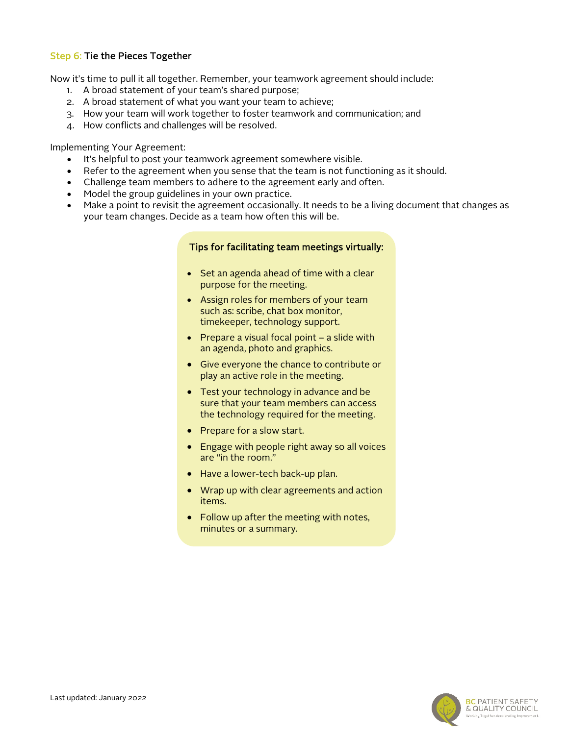# Step 6: Tie the Pieces Together

Now it's time to pull it all together. Remember, your teamwork agreement should include:

- 1. A broad statement of your team's shared purpose;
- 2. A broad statement of what you want your team to achieve;
- 3. How your team will work together to foster teamwork and communication; and
- 4. How conflicts and challenges will be resolved.

Implementing Your Agreement:

- It's helpful to post your teamwork agreement somewhere visible.
- Refer to the agreement when you sense that the team is not functioning as it should.
- Challenge team members to adhere to the agreement early and often.
- Model the group guidelines in your own practice.
- Make a point to revisit the agreement occasionally. It needs to be a living document that changes as your team changes. Decide as a team how often this will be.

#### Tips for facilitating team meetings virtually:

- Set an agenda ahead of time with a clear purpose for the meeting.
- Assign roles for members of your team such as: scribe, chat box monitor, timekeeper, technology support.
- Prepare a visual focal point a slide with an agenda, photo and graphics.
- Give everyone the chance to contribute or play an active role in the meeting.
- Test your technology in advance and be sure that your team members can access the technology required for the meeting.
- Prepare for a slow start.
- Engage with people right away so all voices are "in the room."
- Have a lower-tech back-up plan.
- Wrap up with clear agreements and action items.
- Follow up after the meeting with notes, minutes or a summary.